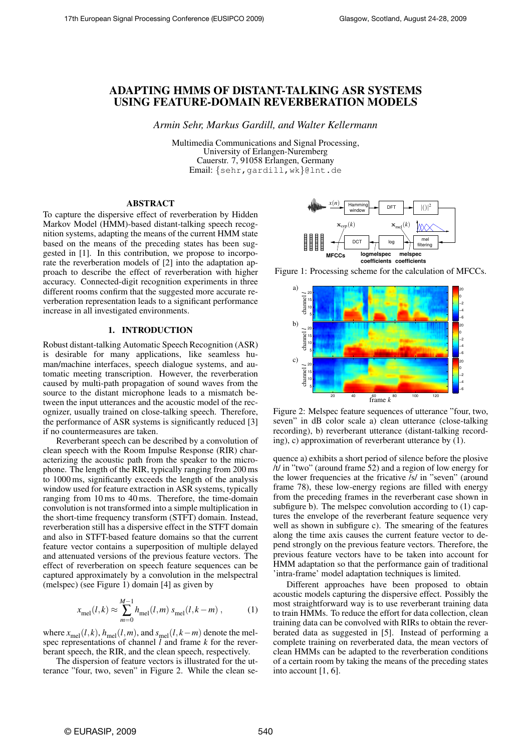# ADAPTING HMMS OF DISTANT-TALKING ASR SYSTEMS USING FEATURE-DOMAIN REVERBERATION MODELS

*Armin Sehr, Markus Gardill, and Walter Kellermann*

Multimedia Communications and Signal Processing, University of Erlangen-Nuremberg Cauerstr. 7, 91058 Erlangen, Germany Email: {sehr, gardill, wk}@lnt.de

# ABSTRACT

To capture the dispersive effect of reverberation by Hidden Markov Model (HMM)-based distant-talking speech recognition systems, adapting the means of the current HMM state based on the means of the preceding states has been suggested in [1]. In this contribution, we propose to incorporate the reverberation models of [2] into the adaptation approach to describe the effect of reverberation with higher accuracy. Connected-digit recognition experiments in three different rooms confirm that the suggested more accurate reverberation representation leads to a significant performance increase in all investigated environments.

# 1. INTRODUCTION

Robust distant-talking Automatic Speech Recognition (ASR) is desirable for many applications, like seamless human/machine interfaces, speech dialogue systems, and automatic meeting transcription. However, the reverberation caused by multi-path propagation of sound waves from the source to the distant microphone leads to a mismatch between the input utterances and the acoustic model of the recognizer, usually trained on close-talking speech. Therefore, the performance of ASR systems is significantly reduced [3] if no countermeasures are taken.

Reverberant speech can be described by a convolution of clean speech with the Room Impulse Response (RIR) characterizing the acoustic path from the speaker to the microphone. The length of the RIR, typically ranging from 200 ms to 1000 ms, significantly exceeds the length of the analysis window used for feature extraction in ASR systems, typically ranging from 10 ms to 40 ms. Therefore, the time-domain convolution is not transformed into a simple multiplication in the short-time frequency transform (STFT) domain. Instead, reverberation still has a dispersive effect in the STFT domain and also in STFT-based feature domains so that the current feature vector contains a superposition of multiple delayed and attenuated versions of the previous feature vectors. The effect of reverberation on speech feature sequences can be captured approximately by a convolution in the melspectral (melspec) (see Figure 1) domain [4] as given by

$$
x_{\text{mel}}(l,k) \approx \sum_{m=0}^{M-1} h_{\text{mel}}(l,m) \, s_{\text{mel}}(l,k-m) \,, \tag{1}
$$

where  $x_{\text{mel}}(l,k)$ ,  $h_{\text{mel}}(l,m)$ , and  $s_{\text{mel}}(l,k-m)$  denote the mel-spec representations of channel *l* and frame *k* for the reverberant speech, the RIR, and the clean speech, respectively.

The dispersion of feature vectors is illustrated for the utterance "four, two, seven" in Figure 2. While the clean se-



Figure 1: Processing scheme for the calculation of MFCCs.



Figure 2: Melspec feature sequences of utterance "four, two, seven" in dB color scale a) clean utterance (close-talking recording), b) reverberant utterance (distant-talking recording), c) approximation of reverberant utterance by (1).

quence a) exhibits a short period of silence before the plosive /t/ in "two" (around frame 52) and a region of low energy for the lower frequencies at the fricative /s/ in "seven" (around frame 78), these low-energy regions are filled with energy from the preceding frames in the reverberant case shown in subfigure b). The melspec convolution according to (1) captures the envelope of the reverberant feature sequence very well as shown in subfigure c). The smearing of the features along the time axis causes the current feature vector to depend strongly on the previous feature vectors. Therefore, the previous feature vectors have to be taken into account for HMM adaptation so that the performance gain of traditional 'intra-frame' model adaptation techniques is limited.

Different approaches have been proposed to obtain acoustic models capturing the dispersive effect. Possibly the most straightforward way is to use reverberant training data to train HMMs. To reduce the effort for data collection, clean training data can be convolved with RIRs to obtain the reverberated data as suggested in [5]. Instead of performing a complete training on reverberated data, the mean vectors of clean HMMs can be adapted to the reverberation conditions of a certain room by taking the means of the preceding states into account [1, 6].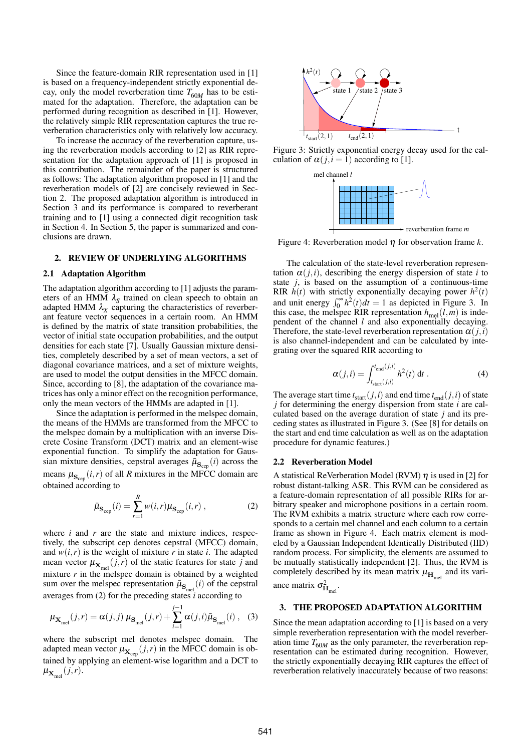Since the feature-domain RIR representation used in [1] is based on a frequency-independent strictly exponential decay, only the model reverberation time  $T_{60M}$  has to be estimated for the adaptation. Therefore, the adaptation can be performed during recognition as described in [1]. However, the relatively simple RIR representation captures the true reverberation characteristics only with relatively low accuracy.

To increase the accuracy of the reverberation capture, using the reverberation models according to [2] as RIR representation for the adaptation approach of [1] is proposed in this contribution. The remainder of the paper is structured as follows: The adaptation algorithm proposed in [1] and the reverberation models of [2] are concisely reviewed in Section 2. The proposed adaptation algorithm is introduced in Section 3 and its performance is compared to reverberant training and to [1] using a connected digit recognition task in Section 4. In Section 5, the paper is summarized and conclusions are drawn.

# 2. REVIEW OF UNDERLYING ALGORITHMS

#### 2.1 Adaptation Algorithm

The adaptation algorithm according to [1] adjusts the parameters of an HMM  $\lambda_{\rm S}$  trained on clean speech to obtain an adapted HMM  $\lambda_X$  capturing the characteristics of reverberant feature vector sequences in a certain room. An HMM is defined by the matrix of state transition probabilities, the vector of initial state occupation probabilities, and the output densities for each state [7]. Usually Gaussian mixture densities, completely described by a set of mean vectors, a set of diagonal covariance matrices, and a set of mixture weights, are used to model the output densities in the MFCC domain. Since, according to [8], the adaptation of the covariance matrices has only a minor effect on the recognition performance, only the mean vectors of the HMMs are adapted in [1].

Since the adaptation is performed in the melspec domain, the means of the HMMs are transformed from the MFCC to the melspec domain by a multiplication with an inverse Discrete Cosine Transform (DCT) matrix and an element-wise exponential function. To simplify the adaptation for Gaussian mixture densities, cepstral averages  $\bar{\mu}_{S_{\text{cep}}}(i)$  across the means  $\mu_{\mathbf{S}_{\text{cep}}}(i,r)$  of all *R* mixtures in the MFCC domain are obtained according to

$$
\bar{\mu}_{\mathbf{S}_{\text{cep}}}(i) = \sum_{r=1}^{R} w(i,r) \mu_{\mathbf{S}_{\text{cep}}}(i,r) ,
$$
 (2)

where *i* and *r* are the state and mixture indices, respectively, the subscript cep denotes cepstral (MFCC) domain, and  $w(i, r)$  is the weight of mixture *r* in state *i*. The adapted mean vector  $\mu_{\mathbf{X}_{\text{mel}}}(j,r)$  of the static features for state *j* and mixture *r* in the melspec domain is obtained by a weighted sum over the melspec representation  $\bar{\mu}_{S_{\text{mel}}}^{\text{(i)}}(i)$  of the cepstral averages from (2) for the preceding states *i* according to

$$
\mu_{\mathbf{X}_{\text{mel}}}(j,r) = \alpha(j,j) \mu_{\mathbf{S}_{\text{mel}}}(j,r) + \sum_{i=1}^{j-1} \alpha(j,i) \bar{\mu}_{\mathbf{S}_{\text{mel}}}(i) , \quad (3)
$$

where the subscript mel denotes melspec domain. The adapted mean vector  $\mu_{\mathbf{X}_{\text{cep}}}(j,r)$  in the MFCC domain is obtained by applying an element-wise logarithm and a DCT to  $\mu_{\mathbf{X}_{\text{mel}}}(j,r)$ .



Figure 3: Strictly exponential energy decay used for the calculation of  $\alpha(j, i = 1)$  according to [1].



Figure 4: Reverberation model η for observation frame *k*.

The calculation of the state-level reverberation representation  $\alpha(j,i)$ , describing the energy dispersion of state *i* to state  $j$ , is based on the assumption of a continuous-time RIR  $h(t)$  with strictly exponentially decaying power  $h^2(t)$ and unit energy  $\int_0^\infty h^2(t)dt = 1$  as depicted in Figure 3. In this case, the melspec RIR representation  $h_{\text{mel}}(l,m)$  is independent of the channel *l* and also exponentially decaying. Therefore, the state-level reverberation representation  $\alpha(j,i)$ is also channel-independent and can be calculated by integrating over the squared RIR according to

$$
\alpha(j,i) = \int_{t_{\text{start}}(j,i)}^{t_{\text{end}}(j,i)} h^2(t) dt . \tag{4}
$$

The average start time  $t_{\text{start}}(j, i)$  and end time  $t_{\text{end}}(j, i)$  of state *j* for determining the energy dispersion from state *i* are calculated based on the average duration of state *j* and its preceding states as illustrated in Figure 3. (See [8] for details on the start and end time calculation as well as on the adaptation procedure for dynamic features.)

#### 2.2 Reverberation Model

A statistical ReVerberation Model (RVM)  $\eta$  is used in [2] for robust distant-talking ASR. This RVM can be considered as a feature-domain representation of all possible RIRs for arbitrary speaker and microphone positions in a certain room. The RVM exhibits a matrix structure where each row corresponds to a certain mel channel and each column to a certain frame as shown in Figure 4. Each matrix element is modeled by a Gaussian Independent Identically Distributed (IID) random process. For simplicity, the elements are assumed to be mutually statistically independent [2]. Thus, the RVM is completely described by its mean matrix  $\mu_{\mathbf{H}_{\text{mel}}}$  and its variance matrix  $\sigma_{\text{H}_{\text{mel}}}^2$ .

# 3. THE PROPOSED ADAPTATION ALGORITHM

Since the mean adaptation according to [1] is based on a very simple reverberation representation with the model reverberation time  $T_{60M}$  as the only parameter, the reverberation representation can be estimated during recognition. However, the strictly exponentially decaying RIR captures the effect of reverberation relatively inaccurately because of two reasons: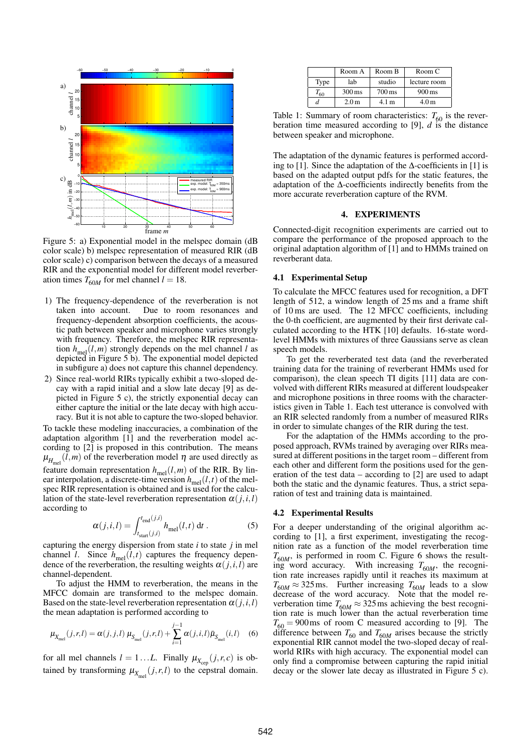

Figure 5: a) Exponential model in the melspec domain (dB color scale) b) melspec representation of measured RIR (dB color scale) c) comparison between the decays of a measured RIR and the exponential model for different model reverberation times  $T_{60M}$  for mel channel  $l = 18$ .

- 1) The frequency-dependence of the reverberation is not taken into account. Due to room resonances and frequency-dependent absorption coefficients, the acoustic path between speaker and microphone varies strongly with frequency. Therefore, the melspec RIR representation  $h_{\text{mel}}(l,m)$  strongly depends on the mel channel *l* as depicted in Figure 5 b). The exponential model depicted in subfigure a) does not capture this channel dependency.
- 2) Since real-world RIRs typically exhibit a two-sloped decay with a rapid initial and a slow late decay [9] as depicted in Figure 5 c), the strictly exponential decay can either capture the initial or the late decay with high accuracy. But it is not able to capture the two-sloped behavior.

To tackle these modeling inaccuracies, a combination of the adaptation algorithm [1] and the reverberation model according to [2] is proposed in this contribution. The means  $\mu_{H_{\text{mel}}}(l,m)$  of the reverberation model  $\eta$  are used directly as feature domain representation  $h_{\text{mel}}(l,m)$  of the RIR. By linear interpolation, a discrete-time version  $h_{\text{mel}}(l,t)$  of the melspec RIR representation is obtained and is used for the calculation of the state-level reverberation representation  $\alpha(j, i, l)$ according to

$$
\alpha(j,i,l) = \int_{t_{\text{start}}(j,i)}^{t_{\text{end}}(j,i)} h_{\text{mel}}(l,t) dt . \tag{5}
$$

capturing the energy dispersion from state *i* to state *j* in mel channel *l*. Since  $h_{\text{mel}}(l,t)$  captures the frequency dependence of the reverberation, the resulting weights  $\alpha(j, i, l)$  are channel-dependent.

To adjust the HMM to reverberation, the means in the MFCC domain are transformed to the melspec domain. Based on the state-level reverberation representation  $\alpha(i, i, l)$ the mean adaptation is performed according to

$$
\mu_{X_{\text{mel}}}(j,r,l) = \alpha(j,j,l) \,\mu_{S_{\text{mel}}}(j,r,l) + \sum_{i=1}^{j-1} \alpha(j,i,l) \bar{\mu}_{S_{\text{mel}}}(i,l) \tag{6}
$$

for all mel channels  $l = 1...L$ . Finally  $\mu_{X_{\text{cep}}}(j,r,c)$  is obtained by transforming  $\mu_{X_{\text{mel}}} (j, r, l)$  to the cepstral domain.

|              | Room A              | Room B              | Room C              |
|--------------|---------------------|---------------------|---------------------|
| Type         | lab                 | studio              | lecture room        |
| $\iota_{60}$ | $300 \,\mathrm{ms}$ | $700 \,\mathrm{ms}$ | $900 \,\mathrm{ms}$ |
|              | 2.0 <sub>m</sub>    | 4.1 <sub>m</sub>    | 4.0 <sub>m</sub>    |

Table 1: Summary of room characteristics:  $T_{60}$  is the reverberation time measured according to [9], *d* is the distance between speaker and microphone.

The adaptation of the dynamic features is performed according to [1]. Since the adaptation of the  $\Delta$ -coefficients in [1] is based on the adapted output pdfs for the static features, the adaptation of the ∆-coefficients indirectly benefits from the more accurate reverberation capture of the RVM.

### 4. EXPERIMENTS

Connected-digit recognition experiments are carried out to compare the performance of the proposed approach to the original adaptation algorithm of [1] and to HMMs trained on reverberant data.

#### 4.1 Experimental Setup

To calculate the MFCC features used for recognition, a DFT length of 512, a window length of 25 ms and a frame shift of 10 ms are used. The 12 MFCC coefficients, including the 0-th coefficient, are augmented by their first derivate calculated according to the HTK [10] defaults. 16-state wordlevel HMMs with mixtures of three Gaussians serve as clean speech models.

To get the reverberated test data (and the reverberated training data for the training of reverberant HMMs used for comparison), the clean speech TI digits [11] data are convolved with different RIRs measured at different loudspeaker and microphone positions in three rooms with the characteristics given in Table 1. Each test utterance is convolved with an RIR selected randomly from a number of measured RIRs in order to simulate changes of the RIR during the test.

For the adaptation of the HMMs according to the proposed approach, RVMs trained by averaging over RIRs measured at different positions in the target room – different from each other and different form the positions used for the generation of the test data – according to [2] are used to adapt both the static and the dynamic features. Thus, a strict separation of test and training data is maintained.

#### 4.2 Experimental Results

For a deeper understanding of the original algorithm according to [1], a first experiment, investigating the recognition rate as a function of the model reverberation time  $T_{60M}$ , is performed in room C. Figure 6 shows the resulting word accuracy. With increasing  $T_{60M}$ , the recognition rate increases rapidly until it reaches its maximum at  $T_{60M} \approx 325 \text{ ms.}$  Further increasing  $T_{60M}$  leads to a slow decrease of the word accuracy. Note that the model reverberation time  $T_{60M} \approx 325 \,\text{ms}$  achieving the best recognition rate is much lower than the actual reverberation time  $T_{60} = 900 \,\text{ms}$  of room C measured according to [9]. The difference between  $T_{60}$  and  $T_{60M}$  arises because the strictly exponential RIR cannot model the two-sloped decay of realworld RIRs with high accuracy. The exponential model can only find a compromise between capturing the rapid initial decay or the slower late decay as illustrated in Figure 5 c).